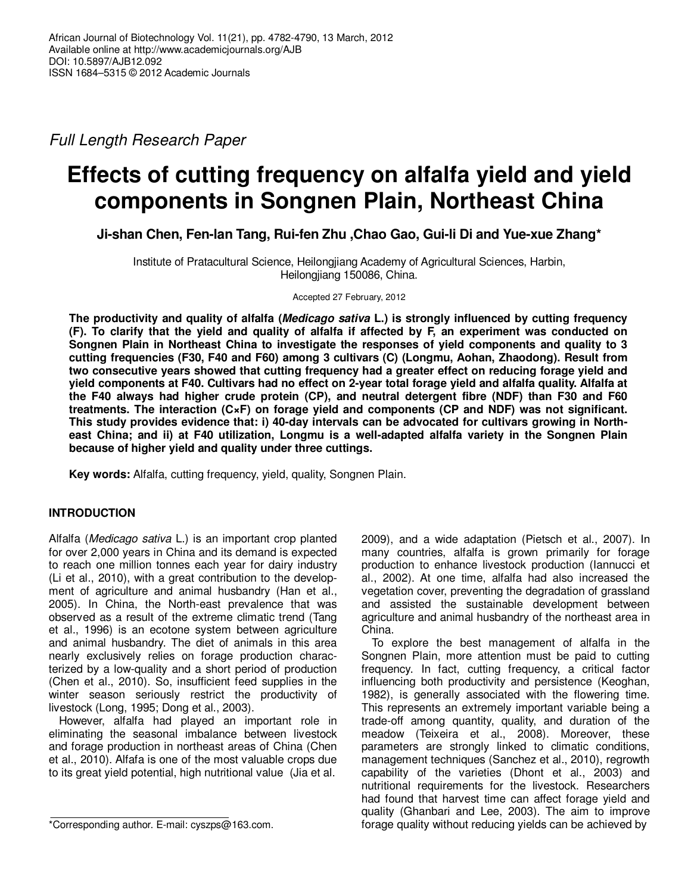Full Length Research Paper

# **Effects of cutting frequency on alfalfa yield and yield components in Songnen Plain, Northeast China**

**Ji-shan Chen, Fen-lan Tang, Rui-fen Zhu ,Chao Gao, Gui-li Di and Yue-xue Zhang\*** 

Institute of Pratacultural Science, Heilongjiang Academy of Agricultural Sciences, Harbin, Heilongjiang 150086, China.

Accepted 27 February, 2012

**The productivity and quality of alfalfa (Medicago sativa L.) is strongly influenced by cutting frequency (F). To clarify that the yield and quality of alfalfa if affected by F, an experiment was conducted on Songnen Plain in Northeast China to investigate the responses of yield components and quality to 3 cutting frequencies (F30, F40 and F60) among 3 cultivars (C) (Longmu, Aohan, Zhaodong). Result from two consecutive years showed that cutting frequency had a greater effect on reducing forage yield and yield components at F40. Cultivars had no effect on 2-year total forage yield and alfalfa quality. Alfalfa at the F40 always had higher crude protein (CP), and neutral detergent fibre (NDF) than F30 and F60 treatments. The interaction (C×F) on forage yield and components (CP and NDF) was not significant. This study provides evidence that: i) 40-day intervals can be advocated for cultivars growing in Northeast China; and ii) at F40 utilization, Longmu is a well-adapted alfalfa variety in the Songnen Plain because of higher yield and quality under three cuttings.** 

**Key words:** Alfalfa, cutting frequency, yield, quality, Songnen Plain.

# **INTRODUCTION**

Alfalfa (Medicago sativa L.) is an important crop planted for over 2,000 years in China and its demand is expected to reach one million tonnes each year for dairy industry (Li et al., 2010), with a great contribution to the development of agriculture and animal husbandry (Han et al., 2005). In China, the North-east prevalence that was observed as a result of the extreme climatic trend (Tang et al., 1996) is an ecotone system between agriculture and animal husbandry. The diet of animals in this area nearly exclusively relies on forage production characterized by a low-quality and a short period of production (Chen et al., 2010). So, insufficient feed supplies in the winter season seriously restrict the productivity of livestock (Long, 1995; Dong et al., 2003).

However, alfalfa had played an important role in eliminating the seasonal imbalance between livestock and forage production in northeast areas of China (Chen et al., 2010). Alfafa is one of the most valuable crops due to its great yield potential, high nutritional value (Jia et al.

2009), and a wide adaptation (Pietsch et al., 2007). In many countries, alfalfa is grown primarily for forage production to enhance livestock production (Iannucci et al., 2002). At one time, alfalfa had also increased the vegetation cover, preventing the degradation of grassland and assisted the sustainable development between agriculture and animal husbandry of the northeast area in China.

To explore the best management of alfalfa in the Songnen Plain, more attention must be paid to cutting frequency. In fact, cutting frequency, a critical factor influencing both productivity and persistence (Keoghan, 1982), is generally associated with the flowering time. This represents an extremely important variable being a trade-off among quantity, quality, and duration of the meadow (Teixeira et al., 2008). Moreover, these parameters are strongly linked to climatic conditions, management techniques (Sanchez et al., 2010), regrowth capability of the varieties (Dhont et al., 2003) and nutritional requirements for the livestock. Researchers had found that harvest time can affect forage yield and quality (Ghanbari and Lee, 2003). The aim to improve forage quality without reducing yields can be achieved by

<sup>\*</sup>Corresponding author. E-mail: cyszps@163.com.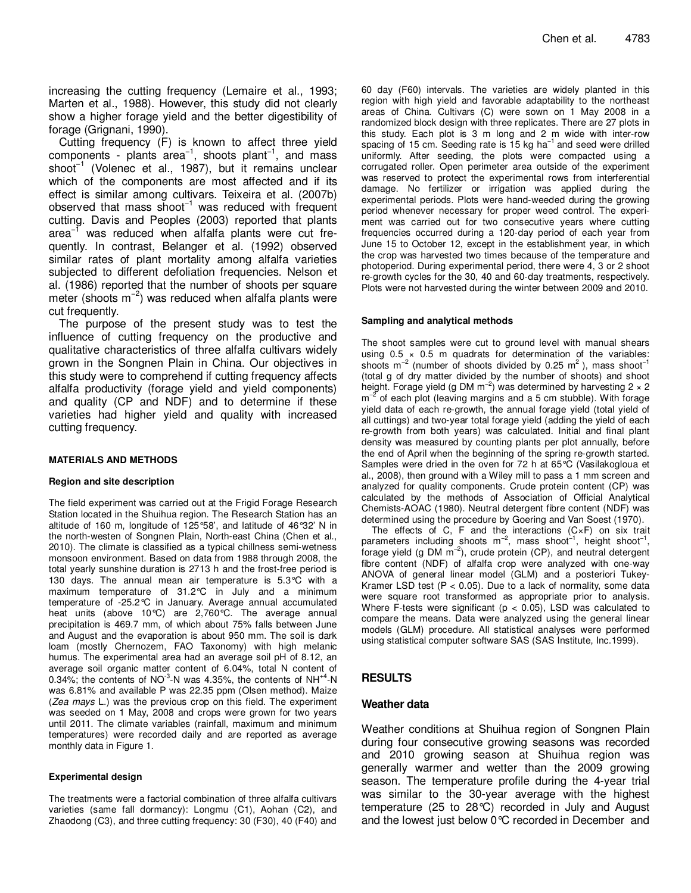increasing the cutting frequency (Lemaire et al., 1993; Marten et al., 1988). However, this study did not clearly show a higher forage yield and the better digestibility of forage (Grignani, 1990).

Cutting frequency (F) is known to affect three yield components - plants area<sup>-1</sup>, shoots plant<sup>-1</sup>, and mass shoot−1 (Volenec et al., 1987), but it remains unclear which of the components are most affected and if its effect is similar among cultivars. Teixeira et al. (2007b) observed that mass shoot−1 was reduced with frequent cutting. Davis and Peoples (2003) reported that plants area<sup>-1</sup> was reduced when alfalfa plants were cut frequently. In contrast, Belanger et al. (1992) observed similar rates of plant mortality among alfalfa varieties subjected to different defoliation frequencies. Nelson et al. (1986) reported that the number of shoots per square meter (shoots m<sup>-2</sup>) was reduced when alfalfa plants were cut frequently.

The purpose of the present study was to test the influence of cutting frequency on the productive and qualitative characteristics of three alfalfa cultivars widely grown in the Songnen Plain in China. Our objectives in this study were to comprehend if cutting frequency affects alfalfa productivity (forage yield and yield components) and quality (CP and NDF) and to determine if these varieties had higher yield and quality with increased cutting frequency.

### **MATERIALS AND METHODS**

### **Region and site description**

The field experiment was carried out at the Frigid Forage Research Station located in the Shuihua region. The Research Station has an altitude of 160 m, longitude of 125°58', and latitude of 46°32' N in the north-westen of Songnen Plain, North-east China (Chen et al., 2010). The climate is classified as a typical chillness semi-wetness monsoon environment. Based on data from 1988 through 2008, the total yearly sunshine duration is 2713 h and the frost-free period is 130 days. The annual mean air temperature is 5.3°C with a maximum temperature of 31.2°C in July and a minimum temperature of -25.2°C in January. Average annual accumulated heat units (above 10°C) are 2,760°C. The average annual precipitation is 469.7 mm, of which about 75% falls between June and August and the evaporation is about 950 mm. The soil is dark loam (mostly Chernozem, FAO Taxonomy) with high melanic humus. The experimental area had an average soil pH of 8.12, an average soil organic matter content of 6.04%, total N content of 0.34%; the contents of  $NO^{-3}$ -N was 4.35%, the contents of  $NH^{+4}$ -N was 6.81% and available P was 22.35 ppm (Olsen method). Maize (Zea mays L.) was the previous crop on this field. The experiment was seeded on 1 May, 2008 and crops were grown for two years until 2011. The climate variables (rainfall, maximum and minimum temperatures) were recorded daily and are reported as average monthly data in Figure 1.

### **Experimental design**

The treatments were a factorial combination of three alfalfa cultivars varieties (same fall dormancy): Longmu (C1), Aohan (C2), and Zhaodong (C3), and three cutting frequency: 30 (F30), 40 (F40) and

60 day (F60) intervals. The varieties are widely planted in this region with high yield and favorable adaptability to the northeast areas of China. Cultivars (C) were sown on 1 May 2008 in a randomized block design with three replicates. There are 27 plots in this study. Each plot is 3 m long and 2 m wide with inter-row spacing of 15 cm. Seeding rate is 15 kg ha<sup>-1</sup> and seed were drilled uniformly. After seeding, the plots were compacted using a corrugated roller. Open perimeter area outside of the experiment was reserved to protect the experimental rows from interferential damage. No fertilizer or irrigation was applied during the experimental periods. Plots were hand-weeded during the growing period whenever necessary for proper weed control. The experiment was carried out for two consecutive years where cutting frequencies occurred during a 120-day period of each year from June 15 to October 12, except in the establishment year, in which the crop was harvested two times because of the temperature and photoperiod. During experimental period, there were 4, 3 or 2 shoot re-growth cycles for the 30, 40 and 60-day treatments, respectively. Plots were not harvested during the winter between 2009 and 2010.

### **Sampling and analytical methods**

The shoot samples were cut to ground level with manual shears using  $0.5 \times 0.5$  m quadrats for determination of the variables: shoots m<sup>-2</sup> (number of shoots divided by 0.25 m<sup>2</sup>), mass shoot<sup>-1</sup> (total g of dry matter divided by the number of shoots) and shoot height. Forage yield (g DM m<sup>-2</sup>) was determined by harvesting 2  $\times$  2  $m^{-2}$  of each plot (leaving margins and a 5 cm stubble). With forage yield data of each re-growth, the annual forage yield (total yield of all cuttings) and two-year total forage yield (adding the yield of each re-growth from both years) was calculated. Initial and final plant density was measured by counting plants per plot annually, before the end of April when the beginning of the spring re-growth started. Samples were dried in the oven for 72 h at 65°C (Vasilakogloua et al., 2008), then ground with a Wiley mill to pass a 1 mm screen and analyzed for quality components. Crude protein content (CP) was calculated by the methods of Association of Official Analytical Chemists-AOAC (1980). Neutral detergent fibre content (NDF) was determined using the procedure by Goering and Van Soest (1970).

The effects of C, F and the interactions  $(C \times F)$  on six trait parameters including shoots m<sup>-2</sup>, mass shoot<sup>-1</sup>, height shoot<sup>-1</sup> parameters including shoots m<sup>−2</sup>, mass shoot<sup>-</sup>', height shoot<sup>-</sup>',<br>forage yield (g DM m<sup>−2</sup>), crude protein (CP), and neutral detergent fibre content (NDF) of alfalfa crop were analyzed with one-way ANOVA of general linear model (GLM) and a posteriori Tukey-Kramer LSD test  $(P < 0.05)$ . Due to a lack of normality, some data were square root transformed as appropriate prior to analysis. Where F-tests were significant ( $p < 0.05$ ), LSD was calculated to compare the means. Data were analyzed using the general linear models (GLM) procedure. All statistical analyses were performed using statistical computer software SAS (SAS Institute, Inc.1999).

# **RESULTS**

## **Weather data**

Weather conditions at Shuihua region of Songnen Plain during four consecutive growing seasons was recorded and 2010 growing season at Shuihua region was generally warmer and wetter than the 2009 growing season. The temperature profile during the 4-year trial was similar to the 30-year average with the highest temperature (25 to 28°C) recorded in July and August and the lowest just below 0°C recorded in December and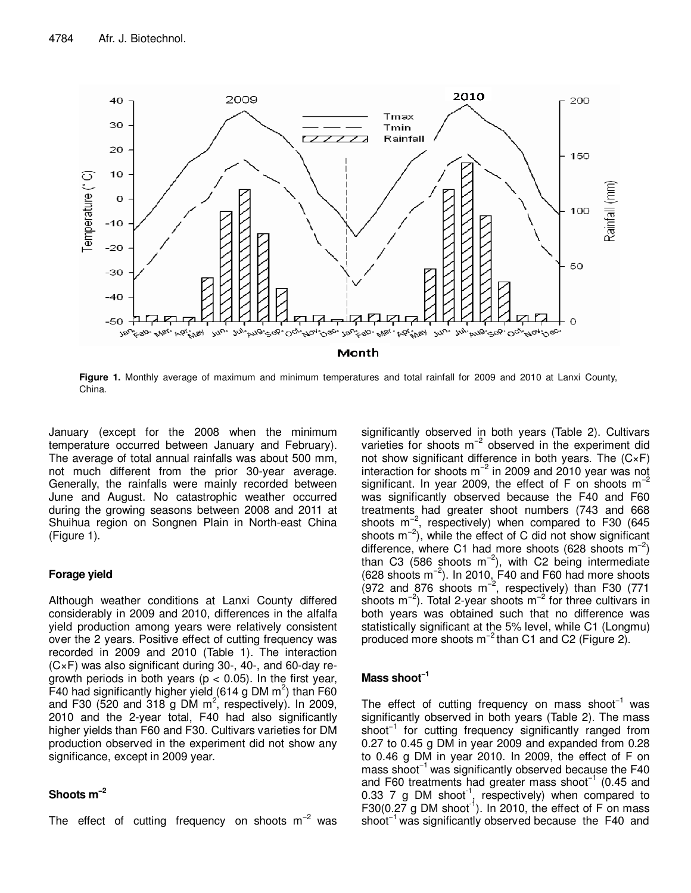

**Figure 1.** Monthly average of maximum and minimum temperatures and total rainfall for 2009 and 2010 at Lanxi County, China.

January (except for the 2008 when the minimum temperature occurred between January and February). The average of total annual rainfalls was about 500 mm, not much different from the prior 30-year average. Generally, the rainfalls were mainly recorded between June and August. No catastrophic weather occurred during the growing seasons between 2008 and 2011 at Shuihua region on Songnen Plain in North-east China (Figure 1).

# **Forage yield**

Although weather conditions at Lanxi County differed considerably in 2009 and 2010, differences in the alfalfa yield production among years were relatively consistent over the 2 years. Positive effect of cutting frequency was recorded in 2009 and 2010 (Table 1). The interaction (C×F) was also significant during 30-, 40-, and 60-day regrowth periods in both years ( $p < 0.05$ ). In the first year, F40 had significantly higher yield (614 g DM  $m^2$ ) than F60 and F30 (520 and 318 g DM  $m^2$ , respectively). In 2009, 2010 and the 2-year total, F40 had also significantly higher yields than F60 and F30. Cultivars varieties for DM production observed in the experiment did not show any significance, except in 2009 year.

# **Shoots m−2**

The effect of cutting frequency on shoots  $m^{-2}$  was

significantly observed in both years (Table 2). Cultivars varieties for shoots m−2 observed in the experiment did not show significant difference in both years. The (C×F) interaction for shoots  $m^{-2}$  in 2009 and 2010 year was not significant. In year 2009, the effect of F on shoots  $m^{-2}$ was significantly observed because the F40 and F60 treatments had greater shoot numbers (743 and 668 shoots m<sup>-2</sup>, respectively) when compared to F30 (645 shoots m<sup>-2</sup>), while the effect of C did not show significant difference, where C1 had more shoots (628 shoots  $m^{-2}$ ) than C3 (586 shoots m<sup>-2</sup>), with C2 being intermediate  $(628 \text{ shoots } m^{-2})$ . In 2010, F40 and F60 had more shoots (972 and 876 shoots m<sup>-2</sup>, respectively) than F30 (771 shoots m<sup>-2</sup>). Total 2-year shoots m<sup>-2</sup> for three cultivars in both years was obtained such that no difference was statistically significant at the 5% level, while C1 (Longmu) produced more shoots m<sup>−2</sup> than C1 and C2 (Figure 2).

# **Mass shoot−1**

The effect of cutting frequency on mass shoot<sup>-1</sup> was significantly observed in both years (Table 2). The mass shoot<sup>-1</sup> for cutting frequency significantly ranged from 0.27 to 0.45 g DM in year 2009 and expanded from 0.28 to 0.46 g DM in year 2010. In 2009, the effect of F on mass shoot<sup>-1</sup> was significantly observed because the F40 and F60 treatments had greater mass shoot<sup>-1</sup> (0.45 and 0.33 7 g DM shoot<sup>-1</sup>, respectively) when compared to F30(0.27 g DM shoot<sup>-1</sup>). In 2010, the effect of F on mass shoot−1 was significantly observed because the F40 and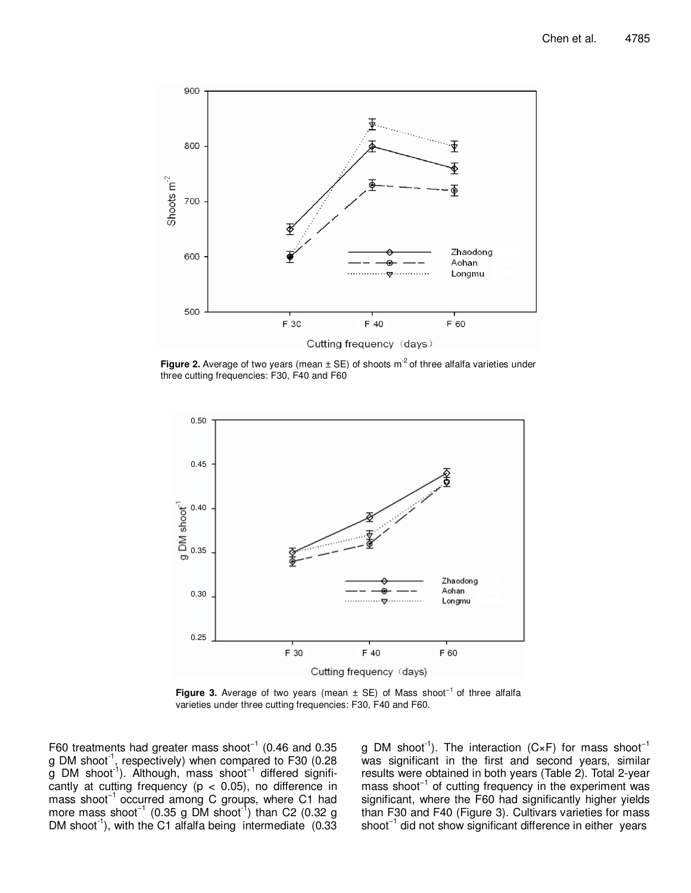

**Figure 2.** Average of two years (mean  $\pm$  SE) of shoots m<sup>-2</sup> of three alfalfa varieties under three cutting frequencies: F30, F40 and F60



**Figure 3.** Average of two years (mean ± SE) of Mass shoot−1 of three alfalfa varieties under three cutting frequencies: F30, F40 and F60.

F60 treatments had greater mass shoot−1 (0.46 and 0.35 g DM shoot<sup>1</sup>, respectively) when compared to F30 (0.28 g DM shoot-1). Although, mass shoot−1 differed significantly at cutting frequency ( $p < 0.05$ ), no difference in mass shoot<sup>-1</sup> occurred among C groups, where C1 had more mass shoot<sup>-1</sup> (0.35 g DM shoot<sup>-1</sup>) than C2 (0.32 g DM shoot<sup>-1</sup>), with the C1 alfalfa being intermediate  $(0.33)$ 

g DM shoot<sup>-1</sup>). The interaction (C×F) for mass shoot<sup>-1</sup> was significant in the first and second years, similar results were obtained in both years (Table 2). Total 2-year mass shoot<sup>-1</sup> of cutting frequency in the experiment was significant, where the F60 had significantly higher yields than F30 and F40 (Figure 3). Cultivars varieties for mass shoot−1 did not show significant difference in either years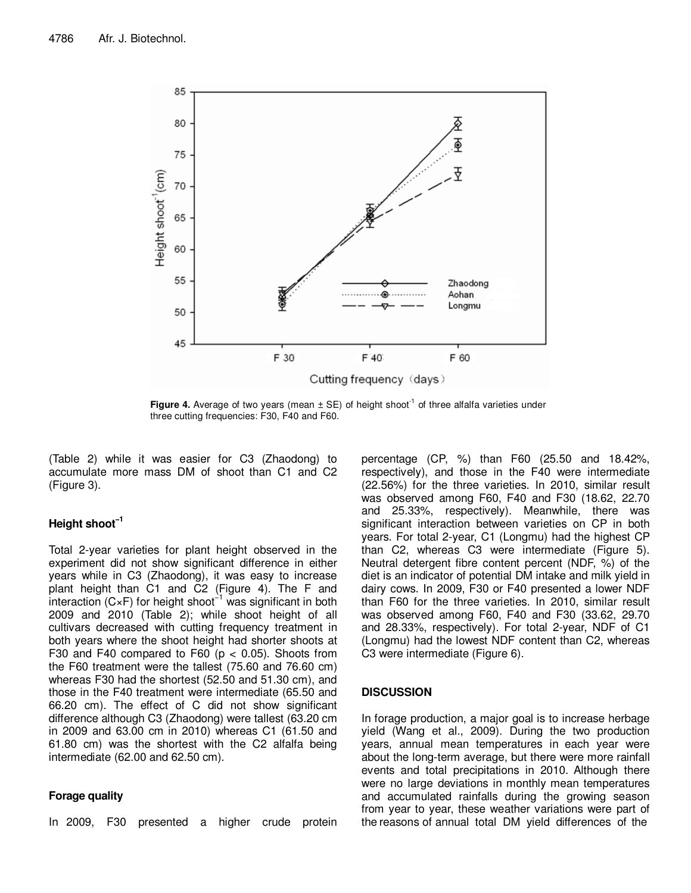

**Figure 4.** Average of two years (mean  $\pm$  SE) of height shoot<sup>-1</sup> of three alfalfa varieties under three cutting frequencies: F30, F40 and F60.

(Table 2) while it was easier for C3 (Zhaodong) to accumulate more mass DM of shoot than C1 and C2 (Figure 3).

# **Height shoot−1**

Total 2-year varieties for plant height observed in the experiment did not show significant difference in either years while in C3 (Zhaodong), it was easy to increase plant height than C1 and C2 (Figure 4). The F and interaction (C×F) for height shoot−1 was significant in both 2009 and 2010 (Table 2); while shoot height of all cultivars decreased with cutting frequency treatment in both years where the shoot height had shorter shoots at F30 and F40 compared to F60 ( $p < 0.05$ ). Shoots from the F60 treatment were the tallest (75.60 and 76.60 cm) whereas F30 had the shortest (52.50 and 51.30 cm), and those in the F40 treatment were intermediate (65.50 and 66.20 cm). The effect of C did not show significant difference although C3 (Zhaodong) were tallest (63.20 cm in 2009 and 63.00 cm in 2010) whereas C1 (61.50 and 61.80 cm) was the shortest with the C2 alfalfa being intermediate (62.00 and 62.50 cm).

## **Forage quality**

In 2009, F30 presented a higher crude protein

percentage (CP, %) than F60 (25.50 and 18.42%, respectively), and those in the F40 were intermediate (22.56%) for the three varieties. In 2010, similar result was observed among F60, F40 and F30 (18.62, 22.70 and 25.33%, respectively). Meanwhile, there was significant interaction between varieties on CP in both years. For total 2-year, C1 (Longmu) had the highest CP than C2, whereas C3 were intermediate (Figure 5). Neutral detergent fibre content percent (NDF, %) of the diet is an indicator of potential DM intake and milk yield in dairy cows. In 2009, F30 or F40 presented a lower NDF than F60 for the three varieties. In 2010, similar result was observed among F60, F40 and F30 (33.62, 29.70 and 28.33%, respectively). For total 2-year, NDF of C1 (Longmu) had the lowest NDF content than C2, whereas C3 were intermediate (Figure 6).

# **DISCUSSION**

In forage production, a major goal is to increase herbage yield (Wang et al., 2009). During the two production years, annual mean temperatures in each year were about the long-term average, but there were more rainfall events and total precipitations in 2010. Although there were no large deviations in monthly mean temperatures and accumulated rainfalls during the growing season from year to year, these weather variations were part of the reasons of annual total DM yield differences of the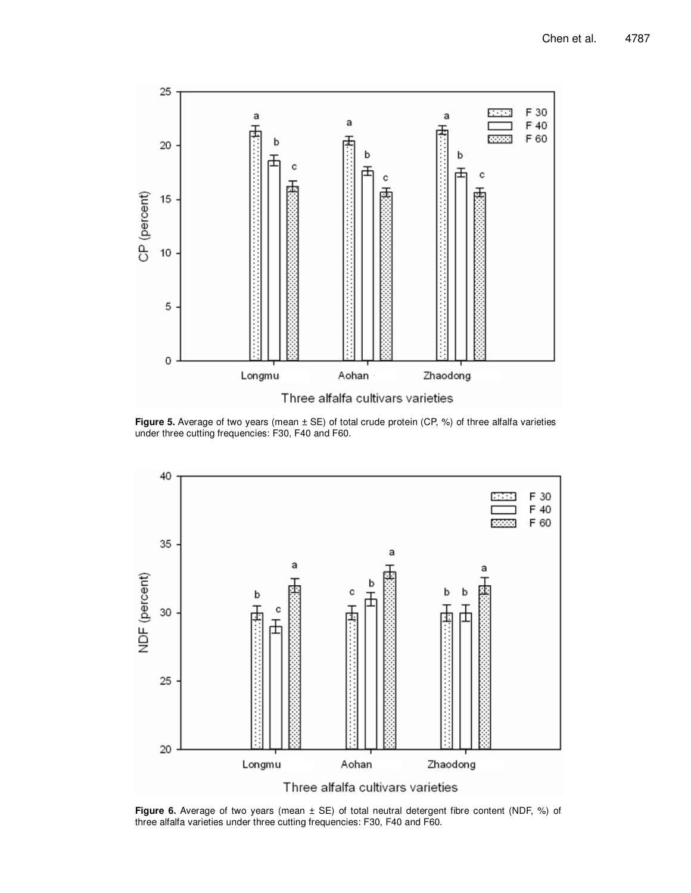

**Figure 5.** Average of two years (mean ± SE) of total crude protein (CP, %) of three alfalfa varieties under three cutting frequencies: F30, F40 and F60.



**Figure 6.** Average of two years (mean ± SE) of total neutral detergent fibre content (NDF, %) of three alfalfa varieties under three cutting frequencies: F30, F40 and F60.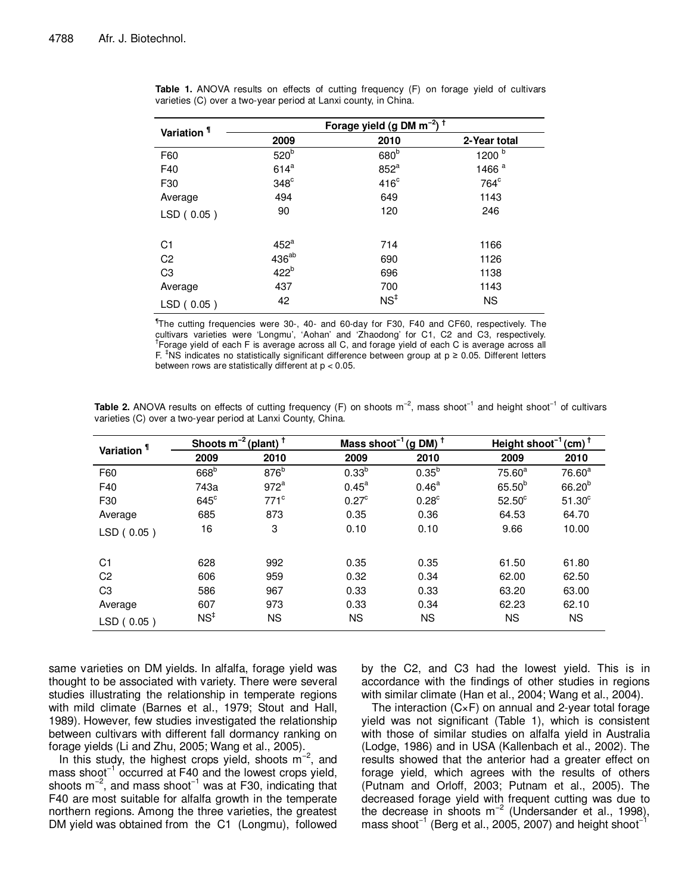| Variation <sup>1</sup> | Forage yield (g DM m <sup>-2</sup> ) <sup>+</sup> |                  |                   |  |  |  |
|------------------------|---------------------------------------------------|------------------|-------------------|--|--|--|
|                        | 2009                                              | 2010             | 2-Year total      |  |  |  |
| F60                    | 520 <sup>b</sup>                                  | 680 <sup>b</sup> | 1200 $b$          |  |  |  |
| F40                    | $614^a$                                           | $852^a$          | 1466 <sup>a</sup> |  |  |  |
| F30                    | $348^\circ$                                       | 416 <sup>c</sup> | 764 <sup>c</sup>  |  |  |  |
| Average                | 494                                               | 649              | 1143              |  |  |  |
| LSD(0.05)              | 90                                                | 120              | 246               |  |  |  |
| C <sub>1</sub>         | $452^a$                                           | 714              | 1166              |  |  |  |
| C <sub>2</sub>         | 436 <sup>ab</sup>                                 | 690              | 1126              |  |  |  |
| C <sub>3</sub>         | 422 <sup>b</sup>                                  | 696              | 1138              |  |  |  |
| Average                | 437                                               | 700              | 1143              |  |  |  |
| LSD(0.05)              | 42                                                | NS <sup>‡</sup>  | <b>NS</b>         |  |  |  |

**Table 1.** ANOVA results on effects of cutting frequency (F) on forage yield of cultivars varieties (C) over a two-year period at Lanxi county, in China.

¶ The cutting frequencies were 30-, 40- and 60-day for F30, F40 and CF60, respectively. The cultivars varieties were 'Longmu', 'Aohan' and 'Zhaodong' for C1, C2 and C3, respectively. † Forage yield of each F is average across all C, and forage yield of each C is average across all F.  $\textsuperscript{†}$ NS indicates no statistically significant difference between group at p ≥ 0.05. Different letters between rows are statistically different at p < 0.05.

Table 2. ANOVA results on effects of cutting frequency (F) on shoots m<sup>-2</sup>, mass shoot<sup>-1</sup> and height shoot<sup>-1</sup> of cultivars varieties (C) over a two-year period at Lanxi County, China.

| Variation <sup>1</sup> |                  | Shoots $m^{-2}$ (plant) <sup>†</sup> |                   | Mass shoot <sup>-1</sup> (g DM) <sup>+</sup> |               | Height shoot <sup>-1</sup> (cm) <sup>+</sup> |  |
|------------------------|------------------|--------------------------------------|-------------------|----------------------------------------------|---------------|----------------------------------------------|--|
|                        | 2009             | 2010                                 | 2009              | 2010                                         | 2009          | 2010                                         |  |
| F60                    | 668 <sup>b</sup> | 876 <sup>b</sup>                     | $0.33^{b}$        | $0.35^{b}$                                   | $75.60^a$     | 76.60 <sup>a</sup>                           |  |
| F40                    | 743a             | 972 <sup>a</sup>                     | $0.45^{\text{a}}$ | $0.46^{\text{a}}$                            | $65.50^{b}$   | $66.20^{b}$                                  |  |
| F30                    | $645^\circ$      | $771$ <sup>c</sup>                   | 0.27 <sup>c</sup> | $0.28^{\circ}$                               | $52.50^\circ$ | $51.30^\circ$                                |  |
| Average                | 685              | 873                                  | 0.35              | 0.36                                         | 64.53         | 64.70                                        |  |
| LSD (0.05)             | 16               | 3                                    | 0.10              | 0.10                                         | 9.66          | 10.00                                        |  |
| C1                     | 628              | 992                                  | 0.35              | 0.35                                         | 61.50         | 61.80                                        |  |
| C <sub>2</sub>         | 606              | 959                                  | 0.32              | 0.34                                         | 62.00         | 62.50                                        |  |
| C <sub>3</sub>         | 586              | 967                                  | 0.33              | 0.33                                         | 63.20         | 63.00                                        |  |
| Average                | 607              | 973                                  | 0.33              | 0.34                                         | 62.23         | 62.10                                        |  |
| LSD(0.05)              | NS <sup>†</sup>  | <b>NS</b>                            | <b>NS</b>         | <b>NS</b>                                    | <b>NS</b>     | <b>NS</b>                                    |  |

same varieties on DM yields. In alfalfa, forage yield was thought to be associated with variety. There were several studies illustrating the relationship in temperate regions with mild climate (Barnes et al., 1979; Stout and Hall, 1989). However, few studies investigated the relationship between cultivars with different fall dormancy ranking on forage yields (Li and Zhu, 2005; Wang et al., 2005).

In this study, the highest crops yield, shoots m−2, and mass shoot<sup>-1</sup> occurred at F40 and the lowest crops yield, shoots m−2, and mass shoot−1 was at F30, indicating that F40 are most suitable for alfalfa growth in the temperate northern regions. Among the three varieties, the greatest DM yield was obtained from the C1 (Longmu), followed

by the C2, and C3 had the lowest yield. This is in accordance with the findings of other studies in regions with similar climate (Han et al., 2004; Wang et al., 2004).

The interaction (C×F) on annual and 2-year total forage yield was not significant (Table 1), which is consistent with those of similar studies on alfalfa yield in Australia (Lodge, 1986) and in USA (Kallenbach et al., 2002). The results showed that the anterior had a greater effect on forage yield, which agrees with the results of others (Putnam and Orloff, 2003; Putnam et al., 2005). The decreased forage yield with frequent cutting was due to the decrease in shoots  $m^{-2}$  (Undersander et al., 1998), mass shoot<sup>-1</sup> (Berg et al., 2005, 2007) and height shoot<sup>-1</sup>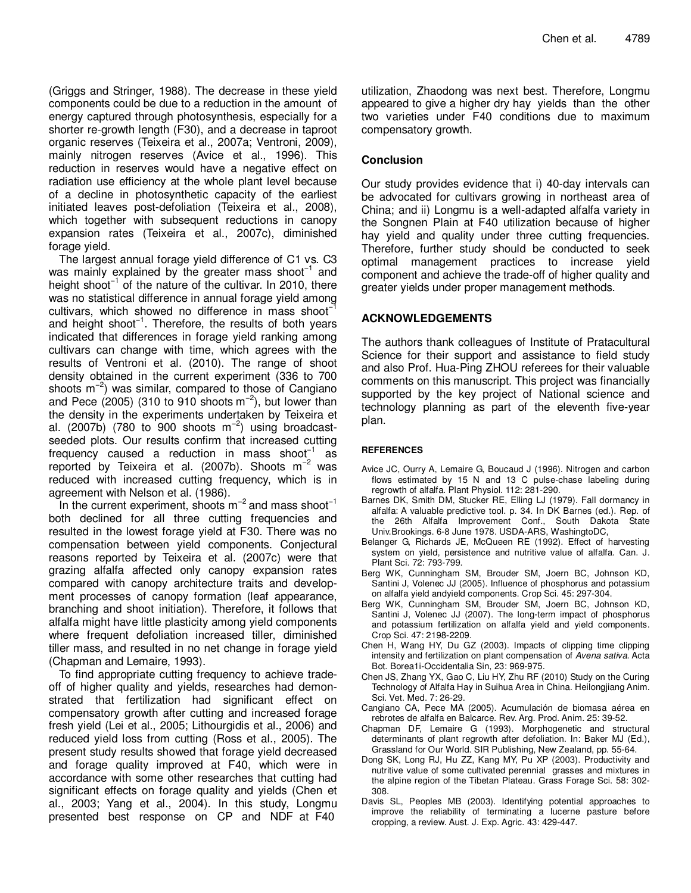(Griggs and Stringer, 1988). The decrease in these yield components could be due to a reduction in the amount of energy captured through photosynthesis, especially for a shorter re-growth length (F30), and a decrease in taproot organic reserves (Teixeira et al., 2007a; Ventroni, 2009), mainly nitrogen reserves (Avice et al., 1996). This reduction in reserves would have a negative effect on radiation use efficiency at the whole plant level because of a decline in photosynthetic capacity of the earliest initiated leaves post-defoliation (Teixeira et al., 2008), which together with subsequent reductions in canopy expansion rates (Teixeira et al., 2007c), diminished forage yield.

The largest annual forage yield difference of C1 vs. C3 was mainly explained by the greater mass shoot<sup>-1</sup> and height shoot<sup>-1</sup> of the nature of the cultivar. In 2010, there was no statistical difference in annual forage yield among cultivars, which showed no difference in mass shoot−1 and height shoot<sup>-1</sup>. Therefore, the results of both years indicated that differences in forage yield ranking among cultivars can change with time, which agrees with the results of Ventroni et al. (2010). The range of shoot density obtained in the current experiment (336 to 700 shoots  $m^{-2}$ ) was similar, compared to those of Cangiano and Pece (2005) (310 to 910 shoots  $m^{-2}$ ), but lower than the density in the experiments undertaken by Teixeira et al. (2007b) (780 to 900 shoots  $m^{-2}$ ) using broadcastseeded plots. Our results confirm that increased cutting frequency caused a reduction in mass shoot<sup>-1</sup> as reported by Teixeira et al. (2007b). Shoots  $m^{-2}$  was reduced with increased cutting frequency, which is in agreement with Nelson et al. (1986).

In the current experiment, shoots  $m^{-2}$  and mass shoot<sup>-1</sup> both declined for all three cutting frequencies and resulted in the lowest forage yield at F30. There was no compensation between yield components. Conjectural reasons reported by Teixeira et al. (2007c) were that grazing alfalfa affected only canopy expansion rates compared with canopy architecture traits and development processes of canopy formation (leaf appearance, branching and shoot initiation). Therefore, it follows that alfalfa might have little plasticity among yield components where frequent defoliation increased tiller, diminished tiller mass, and resulted in no net change in forage yield (Chapman and Lemaire, 1993).

To find appropriate cutting frequency to achieve tradeoff of higher quality and yields, researches had demonstrated that fertilization had significant effect on compensatory growth after cutting and increased forage fresh yield (Lei et al., 2005; Lithourgidis et al., 2006) and reduced yield loss from cutting (Ross et al., 2005). The present study results showed that forage yield decreased and forage quality improved at F40, which were in accordance with some other researches that cutting had significant effects on forage quality and yields (Chen et al., 2003; Yang et al., 2004). In this study, Longmu presented best response on CP and NDF at F40

utilization, Zhaodong was next best. Therefore, Longmu appeared to give a higher dry hay yields than the other two varieties under F40 conditions due to maximum compensatory growth.

## **Conclusion**

Our study provides evidence that i) 40-day intervals can be advocated for cultivars growing in northeast area of China; and ii) Longmu is a well-adapted alfalfa variety in the Songnen Plain at F40 utilization because of higher hay yield and quality under three cutting frequencies. Therefore, further study should be conducted to seek optimal management practices to increase yield component and achieve the trade-off of higher quality and greater yields under proper management methods.

## **ACKNOWLEDGEMENTS**

The authors thank colleagues of Institute of Pratacultural Science for their support and assistance to field study and also Prof. Hua-Ping ZHOU referees for their valuable comments on this manuscript. This project was financially supported by the key project of National science and technology planning as part of the eleventh five-year plan.

## **REFERENCES**

- Avice JC, Ourry A, Lemaire G, Boucaud J (1996). Nitrogen and carbon flows estimated by 15 N and 13 C pulse-chase labeling during regrowth of alfalfa. Plant Physiol. 112: 281-290.
- Barnes DK, Smith DM, Stucker RE, Elling LJ (1979). Fall dormancy in alfalfa: A valuable predictive tool. p. 34. In DK Barnes (ed.). Rep. of the 26th Alfalfa Improvement Conf., South Dakota State Univ.Brookings. 6-8 June 1978. USDA-ARS, WashingtoDC,
- Belanger G, Richards JE, McQueen RE (1992). Effect of harvesting system on yield, persistence and nutritive value of alfalfa. Can. J. Plant Sci. 72: 793-799.
- Berg WK, Cunningham SM, Brouder SM, Joern BC, Johnson KD, Santini J, Volenec JJ (2005). Influence of phosphorus and potassium on alfalfa yield andyield components. Crop Sci. 45: 297-304.
- Berg WK, Cunningham SM, Brouder SM, Joern BC, Johnson KD, Santini J, Volenec JJ (2007). The long-term impact of phosphorus and potassium fertilization on alfalfa yield and yield components. Crop Sci. 47: 2198-2209.
- Chen H, Wang HY, Du GZ (2003). Impacts of clipping time clipping intensity and fertilization on plant compensation of Avena sativa. Acta Bot. Borea1i-Occidentalia Sin, 23: 969-975.
- Chen JS, Zhang YX, Gao C, Liu HY, Zhu RF (2010) Study on the Curing Technology of Alfalfa Hay in Suihua Area in China. Heilongjiang Anim. Sci. Vet. Med. 7: 26-29.
- Cangiano CA, Pece MA (2005). Acumulación de biomasa aérea en rebrotes de alfalfa en Balcarce. Rev. Arg. Prod. Anim. 25: 39-52.
- Chapman DF, Lemaire G (1993). Morphogenetic and structural determinants of plant regrowth after defoliation. In: Baker MJ (Ed.), Grassland for Our World. SIR Publishing, New Zealand, pp. 55-64.
- Dong SK, Long RJ, Hu ZZ, Kang MY, Pu XP (2003). Productivity and nutritive value of some cultivated perennial grasses and mixtures in the alpine region of the Tibetan Plateau. Grass Forage Sci. 58: 302- 308.
- Davis SL, Peoples MB (2003). Identifying potential approaches to improve the reliability of terminating a lucerne pasture before cropping, a review. Aust. J. Exp. Agric. 43: 429-447.